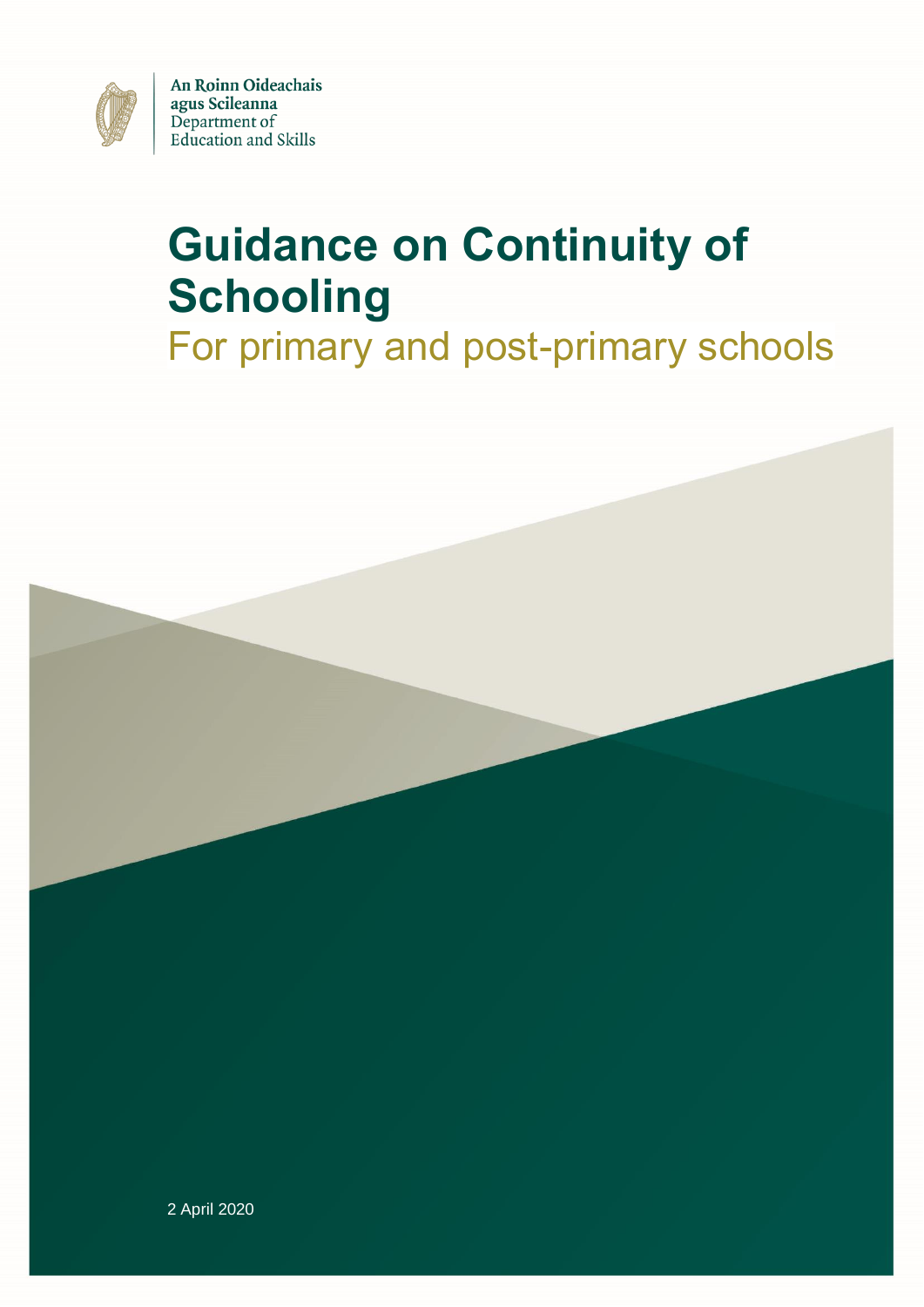

An Roinn Oideachais agus Scileanna Department of **Education and Skills** 

# **Guidance on Continuity of Schooling**

# For primary and post-primary schools

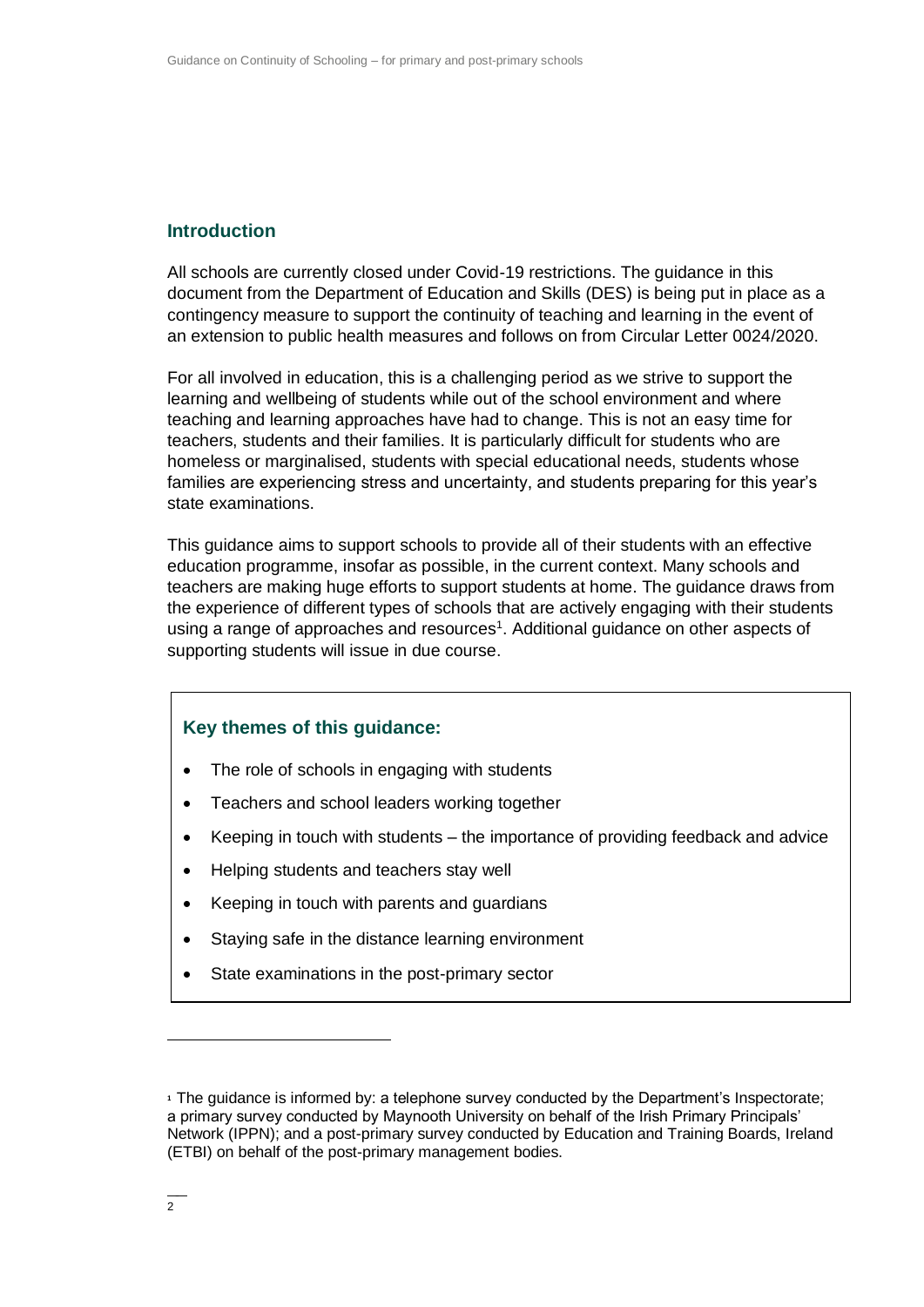# **Introduction**

All schools are currently closed under Covid-19 restrictions. The guidance in this document from the Department of Education and Skills (DES) is being put in place as a contingency measure to support the continuity of teaching and learning in the event of an extension to public health measures and follows on from Circular Letter 0024/2020.

For all involved in education, this is a challenging period as we strive to support the learning and wellbeing of students while out of the school environment and where teaching and learning approaches have had to change. This is not an easy time for teachers, students and their families. It is particularly difficult for students who are homeless or marginalised, students with special educational needs, students whose families are experiencing stress and uncertainty, and students preparing for this year's state examinations.

This guidance aims to support schools to provide all of their students with an effective education programme, insofar as possible, in the current context. Many schools and teachers are making huge efforts to support students at home. The guidance draws from the experience of different types of schools that are actively engaging with their students using a range of approaches and resources<sup>1</sup>. Additional guidance on other aspects of supporting students will issue in due course.

#### **Key themes of this guidance:**

- The role of schools in engaging with students
- Teachers and school leaders working together
- Keeping in touch with students the importance of providing feedback and advice
- Helping students and teachers stay well
- Keeping in touch with parents and guardians
- Staying safe in the distance learning environment
- State examinations in the post-primary sector

 $\overline{a}$ 

**<sup>1</sup>** The guidance is informed by: a telephone survey conducted by the Department's Inspectorate; a primary survey conducted by Maynooth University on behalf of the Irish Primary Principals' Network (IPPN); and a post-primary survey conducted by Education and Training Boards, Ireland (ETBI) on behalf of the post-primary management bodies.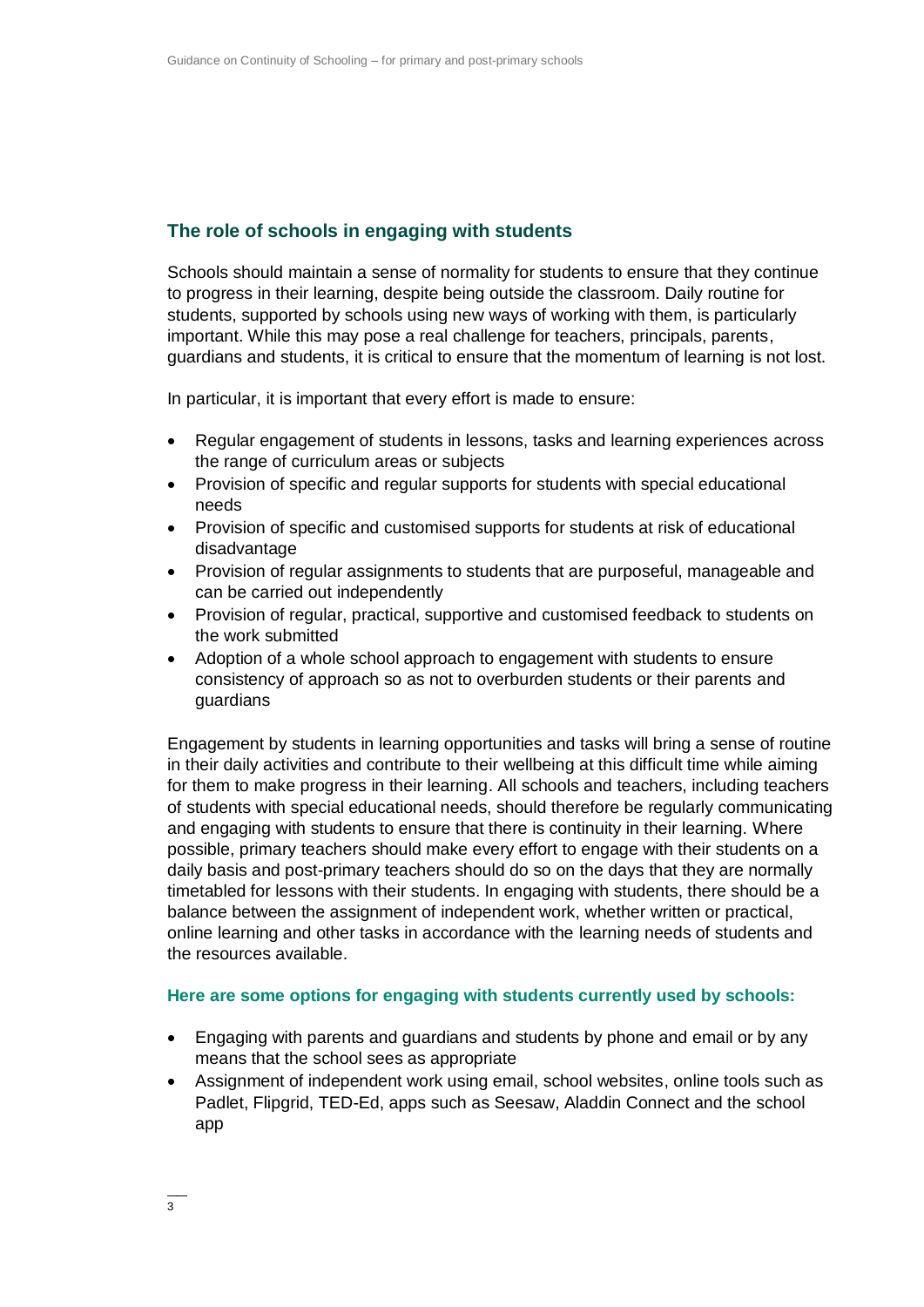# **The role of schools in engaging with students**

Schools should maintain a sense of normality for students to ensure that they continue to progress in their learning, despite being outside the classroom. Daily routine for students, supported by schools using new ways of working with them, is particularly important. While this may pose a real challenge for teachers, principals, parents, guardians and students, it is critical to ensure that the momentum of learning is not lost.

In particular, it is important that every effort is made to ensure:

- Regular engagement of students in lessons, tasks and learning experiences across the range of curriculum areas or subjects
- Provision of specific and regular supports for students with special educational needs
- Provision of specific and customised supports for students at risk of educational disadvantage
- Provision of regular assignments to students that are purposeful, manageable and can be carried out independently
- Provision of regular, practical, supportive and customised feedback to students on the work submitted
- Adoption of a whole school approach to engagement with students to ensure consistency of approach so as not to overburden students or their parents and guardians

Engagement by students in learning opportunities and tasks will bring a sense of routine in their daily activities and contribute to their wellbeing at this difficult time while aiming for them to make progress in their learning. All schools and teachers, including teachers of students with special educational needs, should therefore be regularly communicating and engaging with students to ensure that there is continuity in their learning. Where possible, primary teachers should make every effort to engage with their students on a daily basis and post-primary teachers should do so on the days that they are normally timetabled for lessons with their students. In engaging with students, there should be a balance between the assignment of independent work, whether written or practical, online learning and other tasks in accordance with the learning needs of students and the resources available.

#### **Here are some options for engaging with students currently used by schools:**

- Engaging with parents and guardians and students by phone and email or by any means that the school sees as appropriate
- Assignment of independent work using email, school websites, online tools such as Padlet, Flipgrid, TED-Ed, apps such as Seesaw, Aladdin Connect and the school app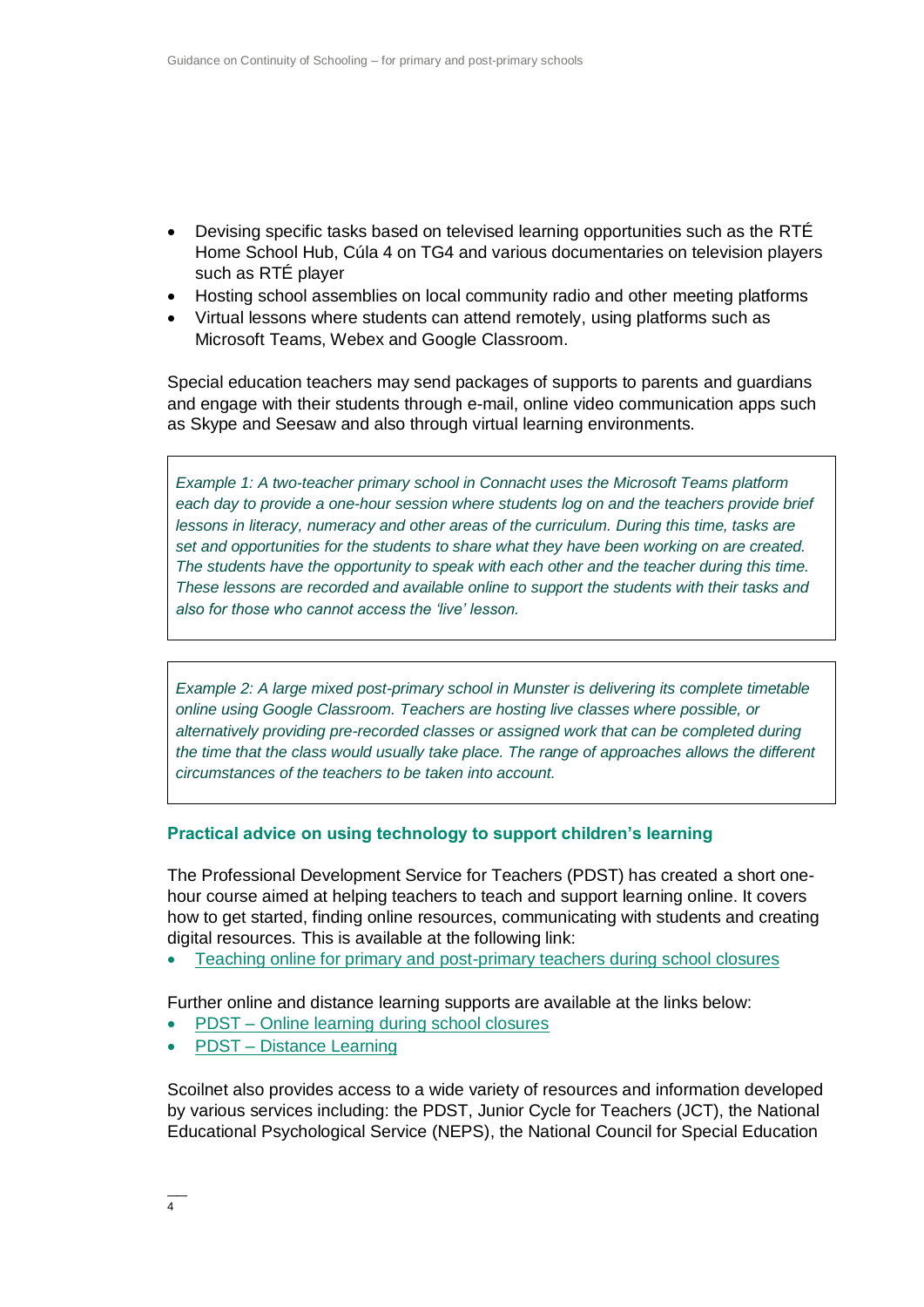- Devising specific tasks based on televised learning opportunities such as the RTÉ Home School Hub, Cúla 4 on TG4 and various documentaries on television players such as RTÉ player
- Hosting school assemblies on local community radio and other meeting platforms
- Virtual lessons where students can attend remotely, using platforms such as Microsoft Teams, Webex and Google Classroom.

Special education teachers may send packages of supports to parents and guardians and engage with their students through e-mail, online video communication apps such as Skype and Seesaw and also through virtual learning environments.

*Example 1: A two-teacher primary school in Connacht uses the Microsoft Teams platform*  each day to provide a one-hour session where students log on and the teachers provide brief *lessons in literacy, numeracy and other areas of the curriculum. During this time, tasks are set and opportunities for the students to share what they have been working on are created. The students have the opportunity to speak with each other and the teacher during this time. These lessons are recorded and available online to support the students with their tasks and also for those who cannot access the 'live' lesson.*

*Example 2: A large mixed post-primary school in Munster is delivering its complete timetable online using Google Classroom. Teachers are hosting live classes where possible, or alternatively providing pre-recorded classes or assigned work that can be completed during the time that the class would usually take place. The range of approaches allows the different circumstances of the teachers to be taken into account.*

#### **Practical advice on using technology to support children's learning**

The Professional Development Service for Teachers (PDST) has created a short onehour course aimed at helping teachers to teach and support learning online. It covers how to get started, finding online resources, communicating with students and creating digital resources. This is available at the following link:

[Teaching online for primary and post-primary teachers during school closures](https://teachercpd.ie/mod/page/view.php?id=11798)

Further online and distance learning supports are available at the links below:

- PDST [Online learning during school closures](https://www.pdsttechnologyineducation.ie/en/Technology/Online%20Learning%20during%20school%20closures/Online-Learning-during-school-closures.html)
- PDST [Distance Learning](https://www.pdst.ie/DistanceLearning)

Scoilnet also provides access to a wide variety of resources and information developed by various services including: the PDST, Junior Cycle for Teachers (JCT), the National Educational Psychological Service (NEPS), the National Council for Special Education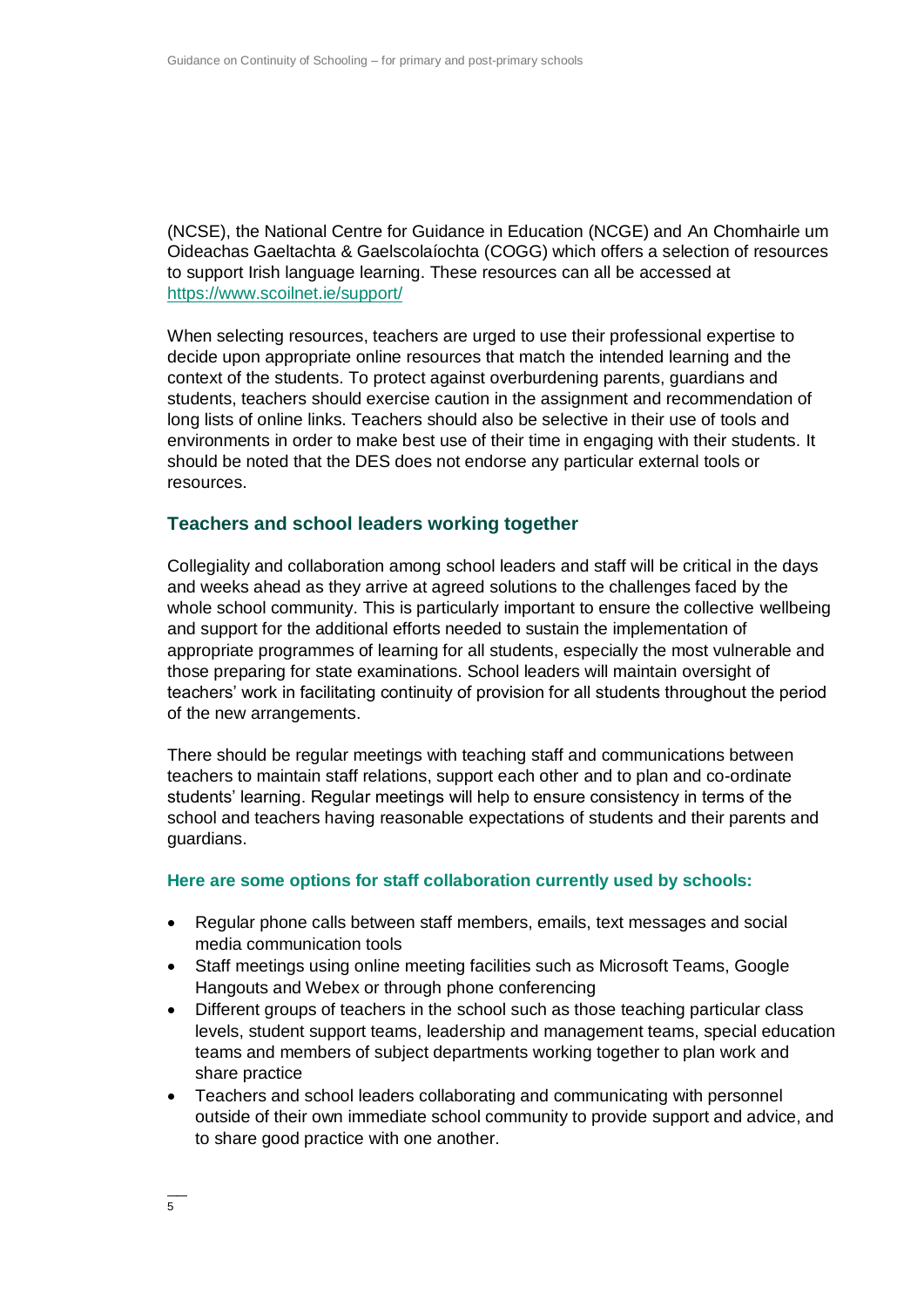(NCSE), the National Centre for Guidance in Education (NCGE) and An Chomhairle um Oideachas Gaeltachta & Gaelscolaíochta (COGG) which offers a selection of resources to support Irish language learning. These resources can all be accessed at <https://www.scoilnet.ie/support/>

When selecting resources, teachers are urged to use their professional expertise to decide upon appropriate online resources that match the intended learning and the context of the students. To protect against overburdening parents, guardians and students, teachers should exercise caution in the assignment and recommendation of long lists of online links. Teachers should also be selective in their use of tools and environments in order to make best use of their time in engaging with their students. It should be noted that the DES does not endorse any particular external tools or resources.

#### **Teachers and school leaders working together**

Collegiality and collaboration among school leaders and staff will be critical in the days and weeks ahead as they arrive at agreed solutions to the challenges faced by the whole school community. This is particularly important to ensure the collective wellbeing and support for the additional efforts needed to sustain the implementation of appropriate programmes of learning for all students, especially the most vulnerable and those preparing for state examinations. School leaders will maintain oversight of teachers' work in facilitating continuity of provision for all students throughout the period of the new arrangements.

There should be regular meetings with teaching staff and communications between teachers to maintain staff relations, support each other and to plan and co-ordinate students' learning. Regular meetings will help to ensure consistency in terms of the school and teachers having reasonable expectations of students and their parents and guardians.

#### **Here are some options for staff collaboration currently used by schools:**

- Regular phone calls between staff members, emails, text messages and social media communication tools
- Staff meetings using online meeting facilities such as Microsoft Teams, Google Hangouts and Webex or through phone conferencing
- Different groups of teachers in the school such as those teaching particular class levels, student support teams, leadership and management teams, special education teams and members of subject departments working together to plan work and share practice
- Teachers and school leaders collaborating and communicating with personnel outside of their own immediate school community to provide support and advice, and to share good practice with one another.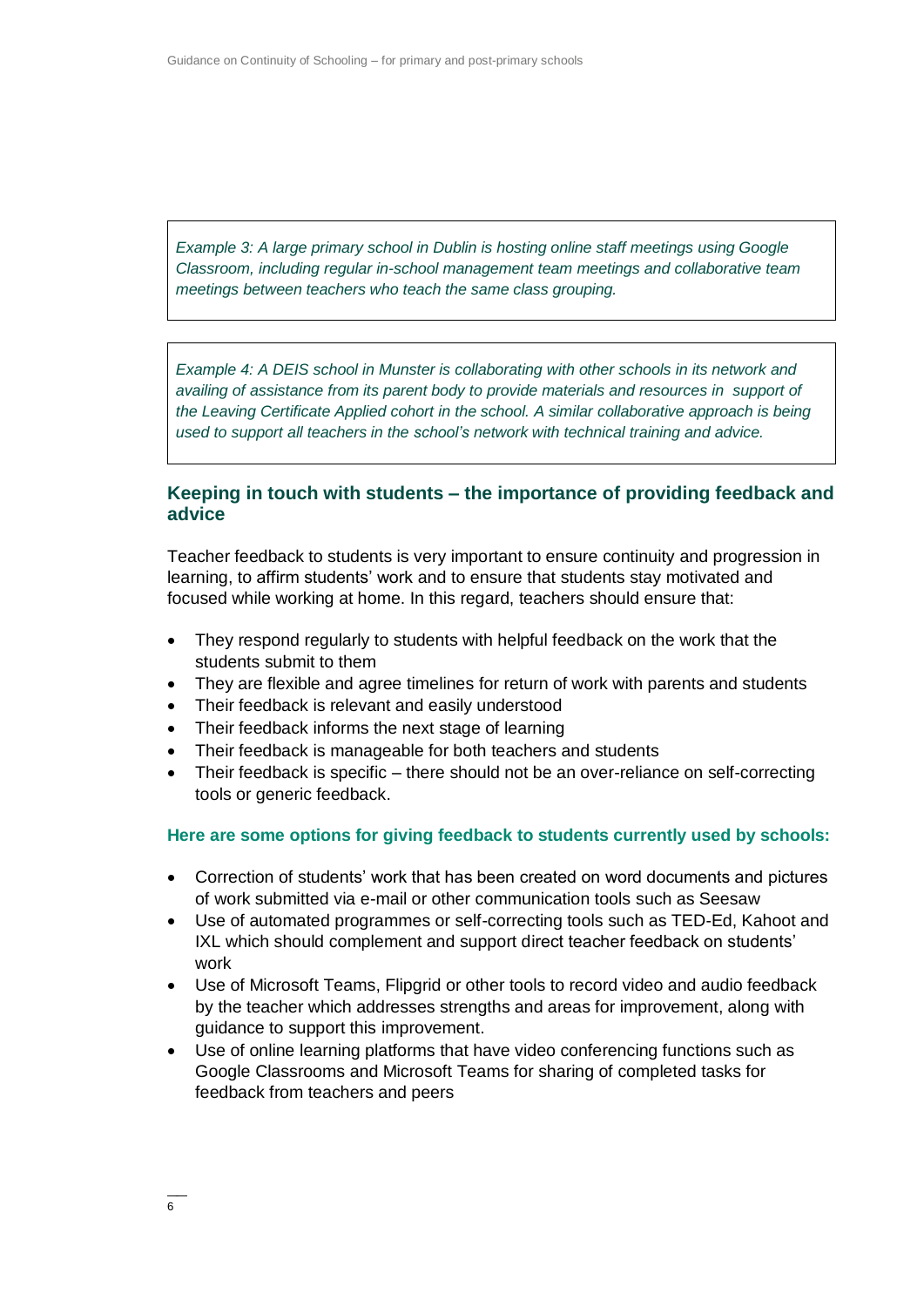*Example 3: A large primary school in Dublin is hosting online staff meetings using Google Classroom, including regular in-school management team meetings and collaborative team meetings between teachers who teach the same class grouping.*

*Example 4: A DEIS school in Munster is collaborating with other schools in its network and availing of assistance from its parent body to provide materials and resources in support of the Leaving Certificate Applied cohort in the school. A similar collaborative approach is being used to support all teachers in the school's network with technical training and advice.*

#### **Keeping in touch with students – the importance of providing feedback and advice**

Teacher feedback to students is very important to ensure continuity and progression in learning, to affirm students' work and to ensure that students stay motivated and focused while working at home. In this regard, teachers should ensure that:

- They respond regularly to students with helpful feedback on the work that the students submit to them
- They are flexible and agree timelines for return of work with parents and students
- Their feedback is relevant and easily understood
- Their feedback informs the next stage of learning
- Their feedback is manageable for both teachers and students
- Their feedback is specific there should not be an over-reliance on self-correcting tools or generic feedback.

#### **Here are some options for giving feedback to students currently used by schools:**

- Correction of students' work that has been created on word documents and pictures of work submitted via e-mail or other communication tools such as Seesaw
- Use of automated programmes or self-correcting tools such as TED-Ed, Kahoot and IXL which should complement and support direct teacher feedback on students' work
- Use of Microsoft Teams, Flipgrid or other tools to record video and audio feedback by the teacher which addresses strengths and areas for improvement, along with guidance to support this improvement.
- Use of online learning platforms that have video conferencing functions such as Google Classrooms and Microsoft Teams for sharing of completed tasks for feedback from teachers and peers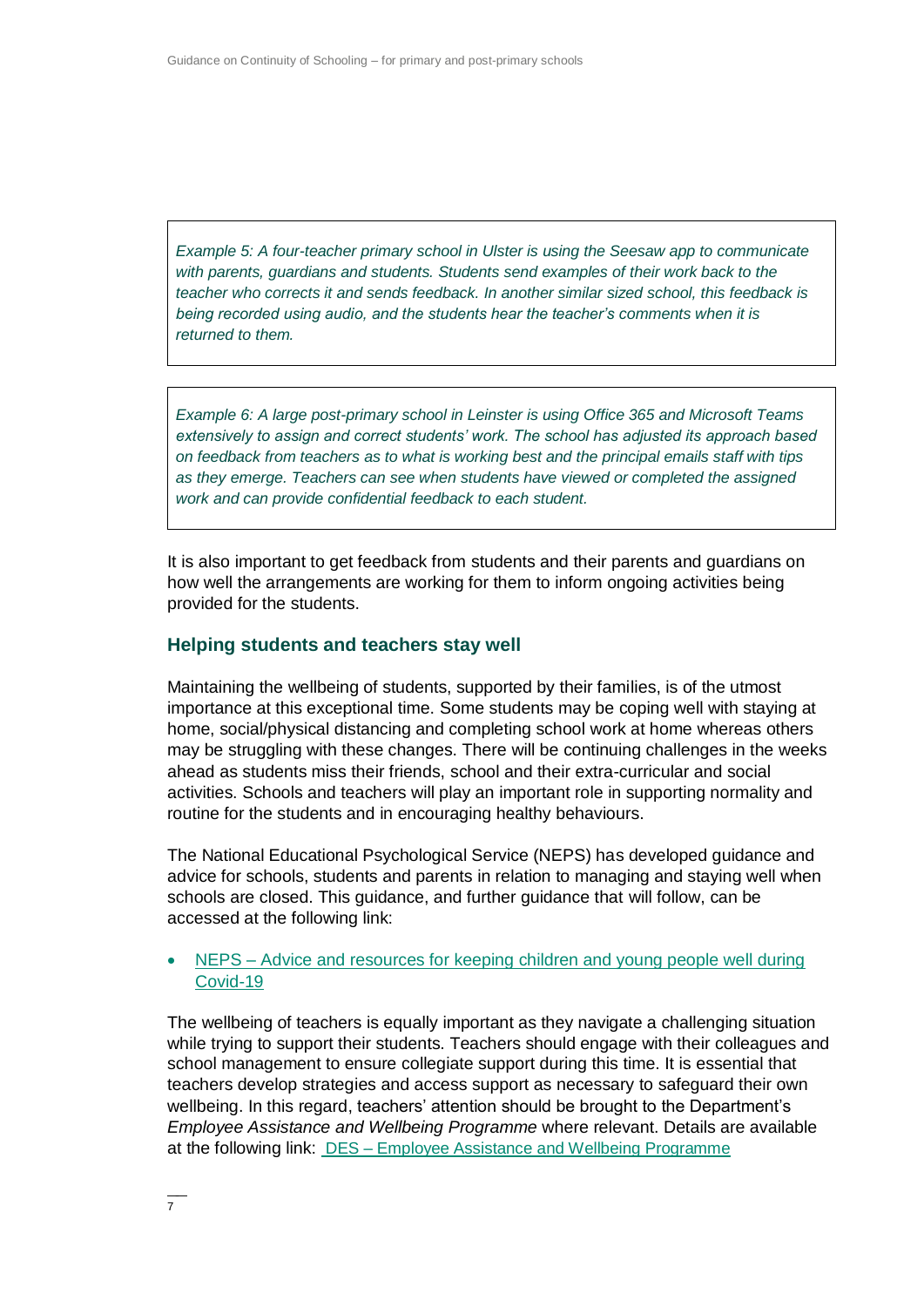*Example 5: A four-teacher primary school in Ulster is using the Seesaw app to communicate with parents, guardians and students. Students send examples of their work back to the teacher who corrects it and sends feedback. In another similar sized school, this feedback is being recorded using audio, and the students hear the teacher's comments when it is returned to them.*

*Example 6: A large post-primary school in Leinster is using Office 365 and Microsoft Teams extensively to assign and correct students' work. The school has adjusted its approach based on feedback from teachers as to what is working best and the principal emails staff with tips as they emerge. Teachers can see when students have viewed or completed the assigned work and can provide confidential feedback to each student.*

It is also important to get feedback from students and their parents and guardians on how well the arrangements are working for them to inform ongoing activities being provided for the students.

#### **Helping students and teachers stay well**

Maintaining the wellbeing of students, supported by their families, is of the utmost importance at this exceptional time. Some students may be coping well with staying at home, social/physical distancing and completing school work at home whereas others may be struggling with these changes. There will be continuing challenges in the weeks ahead as students miss their friends, school and their extra-curricular and social activities. Schools and teachers will play an important role in supporting normality and routine for the students and in encouraging healthy behaviours.

The National Educational Psychological Service (NEPS) has developed guidance and advice for schools, students and parents in relation to managing and staying well when schools are closed. This guidance, and further guidance that will follow, can be accessed at the following link:

#### NEPS – [Advice and resources for keeping children and young people well during](https://www.education.ie/en/The-Department/Announcements/information-for-schools-preschools-and-third-level-institutions-on-the-coronavirus.html#15)  [Covid-19](https://www.education.ie/en/The-Department/Announcements/information-for-schools-preschools-and-third-level-institutions-on-the-coronavirus.html#15)

The wellbeing of teachers is equally important as they navigate a challenging situation while trying to support their students. Teachers should engage with their colleagues and school management to ensure collegiate support during this time. It is essential that teachers develop strategies and access support as necessary to safeguard their own wellbeing. In this regard, teachers' attention should be brought to the Department's *Employee Assistance and Wellbeing Programme* where relevant. Details are available at the following link: DES – [Employee Assistance and Wellbeing Programme](https://www.education.ie/en/Education-Staff/Services/Employee-Assistance-Wellbeing-programme/Employee-Assistance-Wellbeing-Programme.html)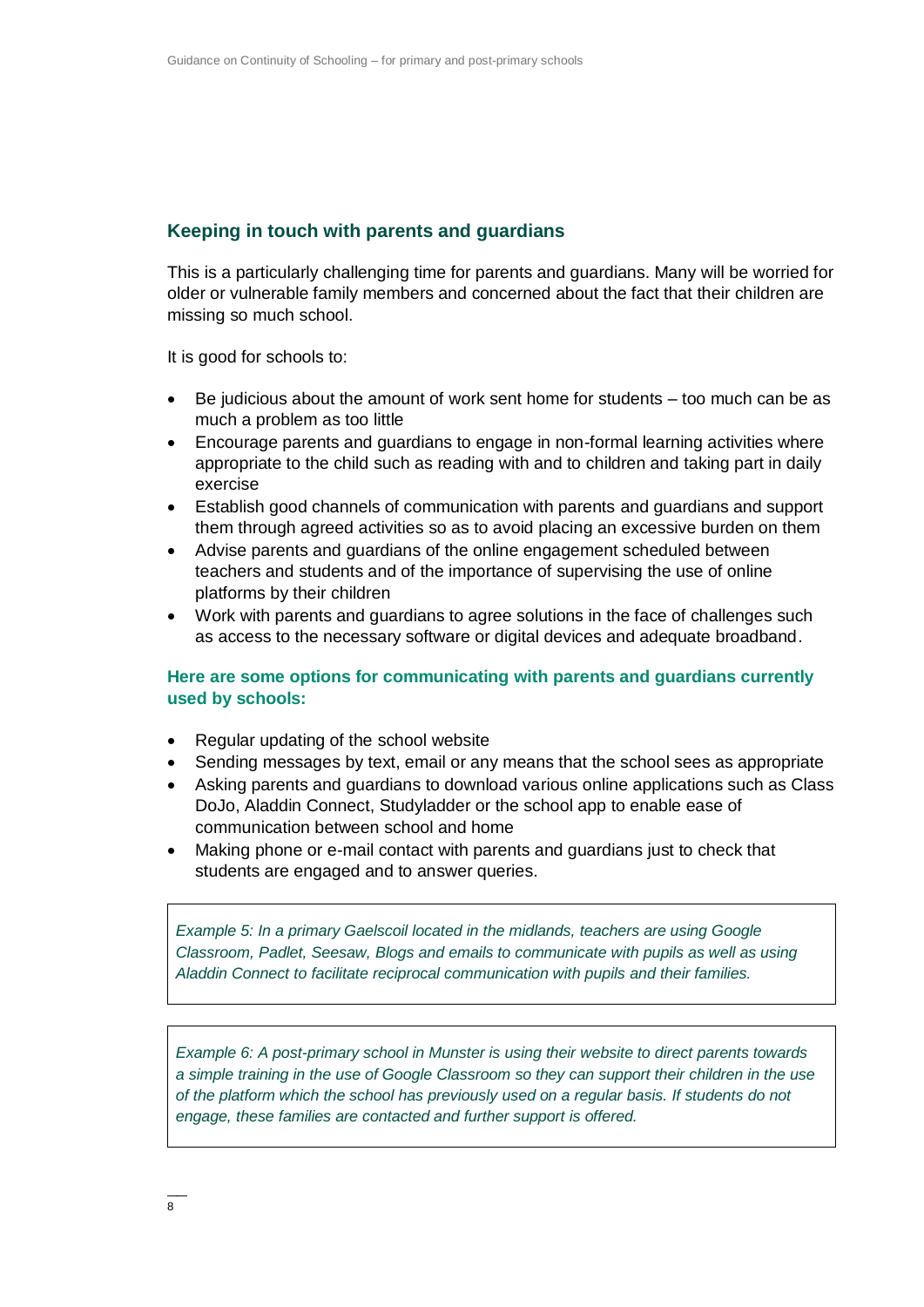# **Keeping in touch with parents and guardians**

This is a particularly challenging time for parents and guardians. Many will be worried for older or vulnerable family members and concerned about the fact that their children are missing so much school.

It is good for schools to:

- Be judicious about the amount of work sent home for students too much can be as much a problem as too little
- Encourage parents and guardians to engage in non-formal learning activities where appropriate to the child such as reading with and to children and taking part in daily exercise
- Establish good channels of communication with parents and guardians and support them through agreed activities so as to avoid placing an excessive burden on them
- Advise parents and guardians of the online engagement scheduled between teachers and students and of the importance of supervising the use of online platforms by their children
- Work with parents and guardians to agree solutions in the face of challenges such as access to the necessary software or digital devices and adequate broadband.

#### **Here are some options for communicating with parents and guardians currently used by schools:**

- Regular updating of the school website
- Sending messages by text, email or any means that the school sees as appropriate
- Asking parents and guardians to download various online applications such as Class DoJo, Aladdin Connect, Studyladder or the school app to enable ease of communication between school and home
- Making phone or e-mail contact with parents and guardians just to check that students are engaged and to answer queries.

*Example 5: In a primary Gaelscoil located in the midlands, teachers are using Google Classroom, Padlet, Seesaw, Blogs and emails to communicate with pupils as well as using Aladdin Connect to facilitate reciprocal communication with pupils and their families.*

*Example 6: A post-primary school in Munster is using their website to direct parents towards a simple training in the use of Google Classroom so they can support their children in the use of the platform which the school has previously used on a regular basis. If students do not engage, these families are contacted and further support is offered.*